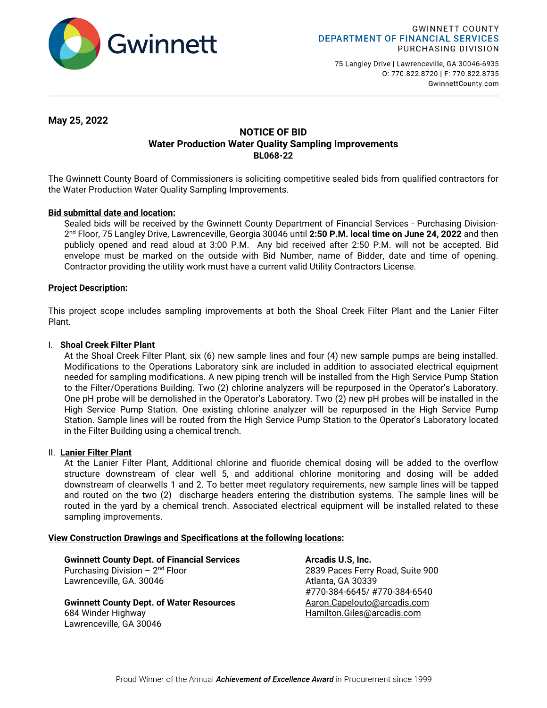

75 Langley Drive | Lawrenceville, GA 30046-6935 0: 770.822.8720 | F: 770.822.8735 GwinnettCounty.com

**May 25, 2022**

# **NOTICE OF BID Water Production Water Quality Sampling Improvements BL068-22**

The Gwinnett County Board of Commissioners is soliciting competitive sealed bids from qualified contractors for the Water Production Water Quality Sampling Improvements.

# **Bid submittal date and location:**

Sealed bids will be received by the Gwinnett County Department of Financial Services - Purchasing Division-2nd Floor, 75 Langley Drive, Lawrenceville, Georgia 30046 until **2:50 P.M. local time on June 24, 2022** and then publicly opened and read aloud at 3:00 P.M. Any bid received after 2:50 P.M. will not be accepted. Bid envelope must be marked on the outside with Bid Number, name of Bidder, date and time of opening. Contractor providing the utility work must have a current valid Utility Contractors License.

# **Project Description:**

This project scope includes sampling improvements at both the Shoal Creek Filter Plant and the Lanier Filter Plant.

# I. **Shoal Creek Filter Plant**

At the Shoal Creek Filter Plant, six (6) new sample lines and four (4) new sample pumps are being installed. Modifications to the Operations Laboratory sink are included in addition to associated electrical equipment needed for sampling modifications. A new piping trench will be installed from the High Service Pump Station to the Filter/Operations Building. Two (2) chlorine analyzers will be repurposed in the Operator's Laboratory. One pH probe will be demolished in the Operator's Laboratory. Two (2) new pH probes will be installed in the High Service Pump Station. One existing chlorine analyzer will be repurposed in the High Service Pump Station. Sample lines will be routed from the High Service Pump Station to the Operator's Laboratory located in the Filter Building using a chemical trench.

## II. **Lanier Filter Plant**

At the Lanier Filter Plant, Additional chlorine and fluoride chemical dosing will be added to the overflow structure downstream of clear well 5, and additional chlorine monitoring and dosing will be added downstream of clearwells 1 and 2. To better meet regulatory requirements, new sample lines will be tapped and routed on the two (2) discharge headers entering the distribution systems. The sample lines will be routed in the yard by a chemical trench. Associated electrical equipment will be installed related to these sampling improvements.

## **View Construction Drawings and Specifications at the following locations:**

**Gwinnett County Dept. of Financial Services Arcadis U.S, Inc. <br>Purchasing Division – 2<sup>nd</sup> Floor <b>Arcadis** 2839 Paces Ferry Lawrenceville, GA. 30046 **Atlanta**, GA 30339

**Gwinnett County Dept. of Water Resources Aaron.Capelouto@arcadis.com** 684 Winder Highway [Hamilton.Giles@arcadis.com](mailto:Hamilton.Giles@arcadis.com)  Lawrenceville, GA 30046

2839 Paces Ferry Road, Suite 900 #770-384-6645/ #770-384-6540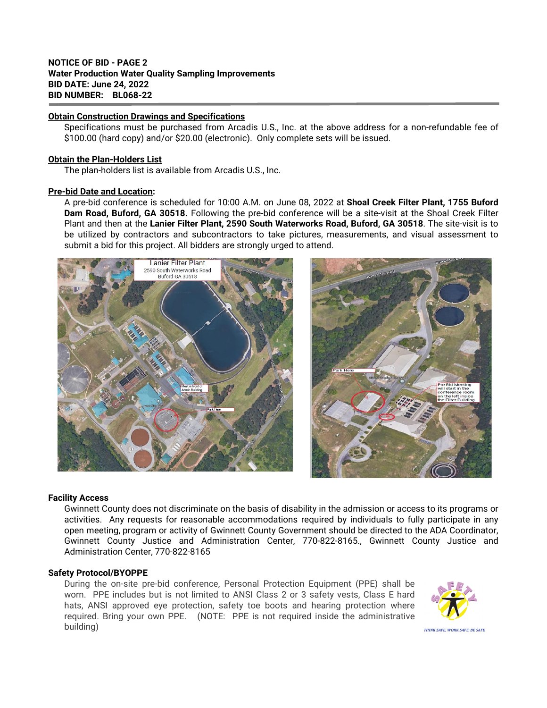# **NOTICE OF BID - PAGE 2 Water Production Water Quality Sampling Improvements BID DATE: June 24, 2022 BID NUMBER: BL068-22**

### **Obtain Construction Drawings and Specifications**

Specifications must be purchased from Arcadis U.S., Inc. at the above address for a non-refundable fee of \$100.00 (hard copy) and/or \$20.00 (electronic). Only complete sets will be issued.

### **Obtain the Plan-Holders List**

The plan-holders list is available from Arcadis U.S., Inc.

#### **Pre-bid Date and Location:**

A pre-bid conference is scheduled for 10:00 A.M. on June 08, 2022 at **Shoal Creek Filter Plant, 1755 Buford Dam Road, Buford, GA 30518.** Following the pre-bid conference will be a site-visit at the Shoal Creek Filter Plant and then at the **Lanier Filter Plant, 2590 South Waterworks Road, Buford, GA 30518**. The site-visit is to be utilized by contractors and subcontractors to take pictures, measurements, and visual assessment to submit a bid for this project. All bidders are strongly urged to attend.

Lanier Filter Plant 2590 South Waterworks Road Buford GA 30518

# **Facility Access**

Gwinnett County does not discriminate on the basis of disability in the admission or access to its programs or activities. Any requests for reasonable accommodations required by individuals to fully participate in any open meeting, program or activity of Gwinnett County Government should be directed to the ADA Coordinator, Gwinnett County Justice and Administration Center, 770-822-8165., Gwinnett County Justice and Administration Center, 770-822-8165

# **Safety Protocol/BYOPPE**

During the on-site pre-bid conference, Personal Protection Equipment (PPE) shall be worn. PPE includes but is not limited to ANSI Class 2 or 3 safety vests, Class E hard hats, ANSI approved eye protection, safety toe boots and hearing protection where required. Bring your own PPE. (NOTE: PPE is not required inside the administrative building)